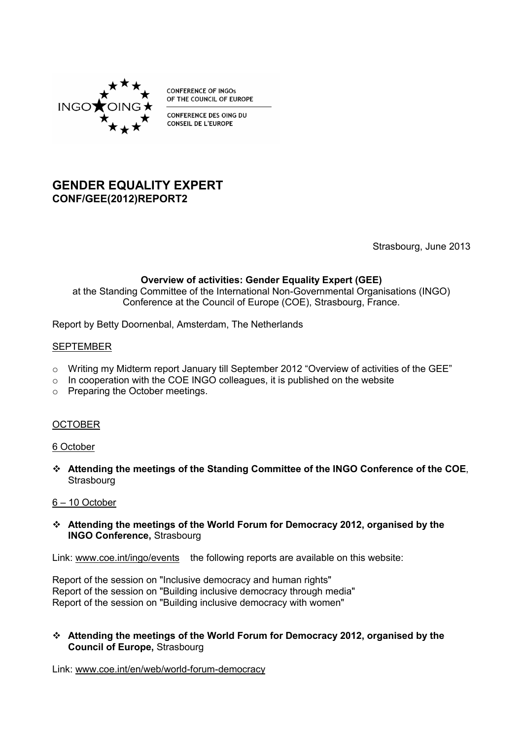

**CONFERENCE OF INGOS** OF THE COUNCIL OF EUROPE

CONFERENCE DES OING DU **CONSEIL DE L'EUROPE** 

# **GENDER EQUALITY EXPERT CONF/GEE(2012)REPORT2**

Strasbourg, June 2013

# **Overview of activities: Gender Equality Expert (GEE)**

at the Standing Committee of the International Non-Governmental Organisations (INGO) Conference at the Council of Europe (COE), Strasbourg, France.

Report by Betty Doornenbal, Amsterdam, The Netherlands

#### SEPTEMBER

- o Writing my Midterm report January till September 2012 "Overview of activities of the GEE"
- $\circ$  In cooperation with the COE INGO colleagues, it is published on the website
- o Preparing the October meetings.

## **OCTOBER**

#### 6 October

 **Attending the meetings of the Standing Committee of the INGO Conference of the COE**, **Strasbourg** 

# 6 – 10 October

 **Attending the meetings of the World Forum for Democracy 2012, organised by the INGO Conference,** Strasbourg

Link: [www.coe.int/ingo/events](http://www.coe.int/ingo/events) the following reports are available on this website:

Report of the session on ["Inclusive democracy and human rights"](http://www.coe.int/t/ngo/Articles/Inclusive_democracy_Human_Rights_report_en.asp) Report of the session on ["Building inclusive democracy through media"](http://www.coe.int/t/ngo/Articles/Inclusive_democracy_through_media_report_en.asp) Report of the session on ["Building inclusive democracy with women"](http://www.coe.int/t/ngo/Articles/Inclusive_democracy_and_women_report_en.asp)

#### **Attending the meetings of the World Forum for Democracy 2012, organised by the Council of Europe,** Strasbourg

Link: [www.coe.int/en/web/world-forum-democracy](http://www.coe.int/en/web/world-forum-democracy/home)